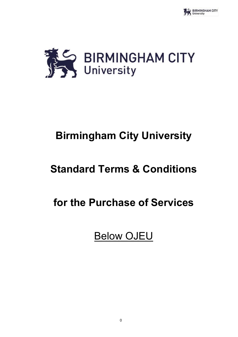



# **Birmingham City University**

# **Standard Terms & Conditions**

# **for the Purchase of Services**

Below OJEU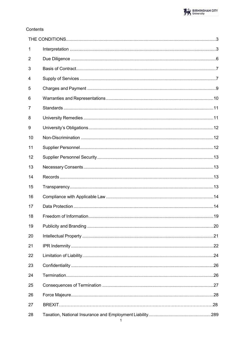# Contents

| 1              |  |
|----------------|--|
| $\overline{2}$ |  |
| 3              |  |
| 4              |  |
| 5              |  |
| 6              |  |
| 7              |  |
| 8              |  |
| 9              |  |
| 10             |  |
| 11             |  |
| 12             |  |
| 13             |  |
| 14             |  |
| 15             |  |
| 16             |  |
| 17             |  |
| 18             |  |
| 19             |  |
| 20             |  |
| 21             |  |
| 22             |  |
| 23             |  |
| 24             |  |
| 25             |  |
| 26             |  |
| 27             |  |
| 28             |  |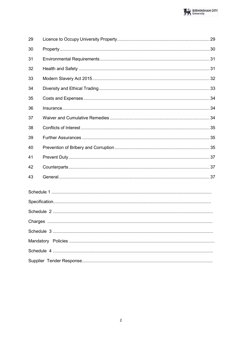| 29 |  |  |
|----|--|--|
| 30 |  |  |
| 31 |  |  |
| 32 |  |  |
| 33 |  |  |
| 34 |  |  |
| 35 |  |  |
| 36 |  |  |
| 37 |  |  |
| 38 |  |  |
| 39 |  |  |
| 40 |  |  |
| 41 |  |  |
| 42 |  |  |
| 43 |  |  |
|    |  |  |
|    |  |  |
|    |  |  |
|    |  |  |
|    |  |  |
|    |  |  |
|    |  |  |
|    |  |  |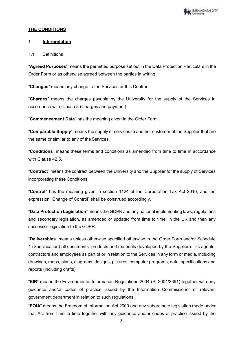

## <span id="page-3-0"></span>**THE CONDITIONS**

#### <span id="page-3-1"></span>**1 Interpretation**

#### 1.1 Definitions

"**Agreed Purposes**" means the permitted purpose set out in the Data Protection Particulars in the Order Form or as otherwise agreed between the parties in writing.

"**Changes**" means any change to the Services or this Contract.

"**Charges**" means the charges payable by the University for the supply of the Services in accordance with Clause 5 (Charges and payment).

"**Commencement Date**" has the meaning given in the Order Form.

"**Comparable Supply**" means the supply of services to another customer of the Supplier that are the same or similar to any of the Services.

"**Conditions**" means these terms and conditions as amended from time to time in accordance with Clause 42.5

"**Contract**" means the contract between the University and the Supplier for the supply of Services incorporating these Conditions.

"**Control**" has the meaning given in section 1124 of the Corporation Tax Act 2010, and the expression "Change of Control" shall be construed accordingly.

"**Data Protection Legislation**" means the GDPR and any national implementing laws, regulations and secondary legislation, as amended or updated from time to time, in the UK and then any successor legislation to the GDPR.

"**Deliverables**" means unless otherwise specified otherwise in the Order Form and/or Schedule 1 (Specification) all documents, products and materials developed by the Supplier or its agents, contractors and employees as part of or in relation to the Services in any form or media, including drawings, maps, plans, diagrams, designs, pictures, computer programs, data, specifications and reports (including drafts).

"**EIR**" means the Environmental Information Regulations 2004 (SI 2004/3391) together with any guidance and/or codes of practice issued by the Information Commissioner or relevant government department in relation to such regulations.

"**FOIA**" means the Freedom of Information Act 2000 and any subordinate legislation made under that Act from time to time together with any guidance and/or codes of practice issued by the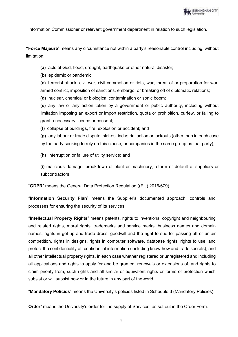

Information Commissioner or relevant government department in relation to such legislation.

**"Force Majeure**" means any circumstance not within a party's reasonable control including, without limitation:

**(a)** acts of God, flood, drought, earthquake or other natural disaster;

**(b)** epidemic or pandemic;

**(c)** terrorist attack, civil war, civil commotion or riots, war, threat of or preparation for war, armed conflict, imposition of sanctions, embargo, or breaking off of diplomatic relations;

**(d)** nuclear, chemical or biological contamination or sonic boom;

**(e)** any law or any action taken by a government or public authority, including without limitation imposing an export or import restriction, quota or prohibition, curfew, or failing to grant a necessary licence or consent;

**(f)** collapse of buildings, fire, explosion or accident; and

**(g)** any labour or trade dispute, strikes, industrial action or lockouts (other than in each case by the party seeking to rely on this clause, or companies in the same group as that party);

**(h)** interruption or failure of utility service: and

**(i)** malicious damage, breakdown of plant or machinery, storm or default of suppliers or subcontractors.

"**GDPR**" means the General Data Protection Regulation ((EU) 2016/679).

"**Information Security Plan**" means the Supplier's documented approach, controls and processes for ensuring the security of its services.

"**Intellectual Property Rights**" means patents, rights to inventions, copyright and neighbouring and related rights, moral rights, trademarks and service marks, business names and domain names, rights in get-up and trade dress, goodwill and the right to sue for passing off or unfair competition, rights in designs, rights in computer software, database rights, rights to use, and protect the confidentiality of, confidential information (including know-how and trade secrets), and all other intellectual property rights, in each case whether registered or unregistered and including all applications and rights to apply for and be granted, renewals or extensions of, and rights to claim priority from, such rights and all similar or equivalent rights or forms of protection which subsist or will subsist now or in the future in any part of theworld.

"**Mandatory Policies**" means the University's policies listed in Schedule 3 (Mandatory Policies).

**Order**" means the University's order for the supply of Services, as set out in the Order Form.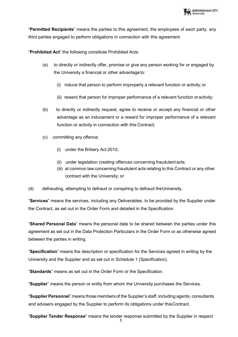"**Permitted Recipients**" means the parties to this agreement, the employees of each party, any third parties engaged to perform obligations in connection with this agreement.

"**Prohibited Act**" the following constitute Prohibited Acts:

- (a) to directly or indirectly offer, promise or give any person working for or engaged by the University a financial or other advantage to:
	- (i) induce that person to perform improperly a relevant function or activity; or
	- (ii) reward that person for improper performance of a relevant function oractivity;
- (b) to directly or indirectly request, agree to receive or accept any financial or other advantage as an inducement or a reward for improper performance of a relevant function or activity in connection with this Contract;
- (c) committing any offence:
	- (i) under the Bribery Act 2010;
	- (ii) under legislation creating offences concerning fraudulent acts;
	- (iii) at common law concerning fraudulent acts relating to this Contract or any other contract with the University; or
- (d) defrauding, attempting to defraud or conspiring to defraud theUniversity.

"**Services**" means the services, including any Deliverables, to be provided by the Supplier under the Contract, as set out in the Order Form and detailed in the Specification.

"**Shared Personal Data**" means the personal data to be shared between the parties under this agreement as set out in the Data Protection Particulars in the Order Form or as otherwise agreed between the parties in writing.

"**Specification**" means the description or specification for the Services agreed in writing by the University and the Supplier and as set out in Schedule 1 (Specification).

"**Standards**" means as set out in the Order Form or the Specification.

"**Supplier**" means the person or entity from whom the University purchases the Services.

"**Supplier Personnel**" means those members of the Supplier's staff, including agents, consultants and advisers engaged by the Supplier to perform its obligations under thisContract.

"**Supplier Tender Response**" means the tender response submitted by the Supplier in respect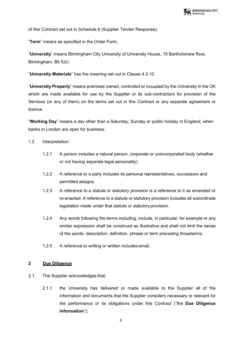

of this Contract set out in Schedule 6 (Supplier Tender Response).

"**Term**" means as specified in the Order Form.

"**University**" means Birmingham City University of University House, 15 Bartholomew Row, Birmingham, B5 5JU.

"**University Materials**" has the meaning set out in Clause 4.3.10.

"**University Property**" means premises owned, controlled or occupied by the University in the UK which are made available for use by the Supplier or its sub-contractors for provision of the Services (or any of them) on the terms set out in this Contract or any separate agreement or licence.

"**Working Day**" means a day other than a Saturday, Sunday or public holiday in England, when banks in London are open for business.

- 1.2 Interpretation:
	- 1.2.1 A person includes a natural person, corporate or unincorporated body (whether or not having separate legal personality).
	- 1.2.2 A reference to a party includes its personal representatives, successors and permitted assigns.
	- 1.2.3 A reference to a statute or statutory provision is a reference to it as amended or re-enacted. A reference to a statute or statutory provision includes all subordinate legislation made under that statute or statutoryprovision.
	- 1.2.4 Any words following the terms including, include, in particular, for example or any similar expression shall be construed as illustrative and shall not limit the sense of the words, description, definition, phrase or term preceding thoseterms.
	- 1.2.5 A reference to writing or written includes email.

## <span id="page-6-0"></span>**2 Due Diligence**

- 2.1 The Supplier acknowledges that:
	- 2.1.1 the University has delivered or made available to the Supplier all of the information and documents that the Supplier considers necessary or relevant for the performance or its obligations under this Contract ("the **Due Diligence Information**");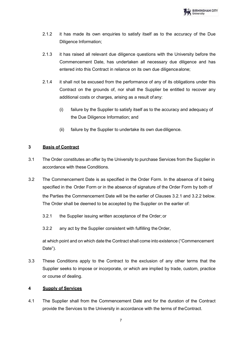

- 2.1.2 it has made its own enquiries to satisfy itself as to the accuracy of the Due Diligence Information;
- 2.1.3 it has raised all relevant due diligence questions with the University before the Commencement Date, has undertaken all necessary due diligence and has entered into this Contract in reliance on its own due diligencealone;
- 2.1.4 it shall not be excused from the performance of any of its obligations under this Contract on the grounds of, nor shall the Supplier be entitled to recover any additional costs or charges, arising as a result of any:
	- (i) failure by the Supplier to satisfy itself as to the accuracy and adequacy of the Due Diligence Information; and
	- (ii) failure by the Supplier to undertake its own duediligence.

## <span id="page-7-0"></span>**3 Basis of Contract**

- 3.1 The Order constitutes an offer by the University to purchase Services from the Supplier in accordance with these Conditions.
- 3.2 The Commencement Date is as specified in the Order Form. In the absence of it being specified in the Order Form or in the absence of signature of the Order Form by both of the Parties the Commencement Date will be the earlier of Clauses 3.2.1 and 3.2.2 below. The Order shall be deemed to be accepted by the Supplier on the earlier of:
	- 3.2.1 the Supplier issuing written acceptance of the Order; or
	- 3.2.2 any act by the Supplier consistent with fulfilling theOrder,

at which point and on which date the Contract shall come into existence ("Commencement Date").

3.3 These Conditions apply to the Contract to the exclusion of any other terms that the Supplier seeks to impose or incorporate, or which are implied by trade, custom, practice or course of dealing.

## <span id="page-7-1"></span>**4 Supply of Services**

4.1 The Supplier shall from the Commencement Date and for the duration of the Contract provide the Services to the University in accordance with the terms of theContract.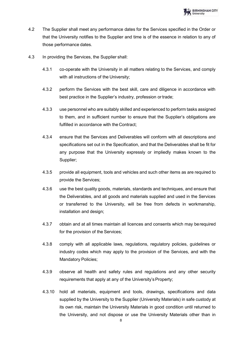

- 4.2 The Supplier shall meet any performance dates for the Services specified in the Order or that the University notifies to the Supplier and time is of the essence in relation to any of those performance dates.
- 4.3 In providing the Services, the Supplier shall:
	- 4.3.1 co-operate with the University in all matters relating to the Services, and comply with all instructions of the University;
	- 4.3.2 perform the Services with the best skill, care and diligence in accordance with best practice in the Supplier's industry, profession or trade;
	- 4.3.3 use personnel who are suitably skilled and experienced to perform tasks assigned to them, and in sufficient number to ensure that the Supplier's obligations are fulfilled in accordance with the Contract;
	- 4.3.4 ensure that the Services and Deliverables will conform with all descriptions and specifications set out in the Specification, and that the Deliverables shall be fit for any purpose that the University expressly or impliedly makes known to the Supplier;
	- 4.3.5 provide all equipment, tools and vehicles and such other items as are required to provide the Services;
	- 4.3.6 use the best quality goods, materials, standards and techniques, and ensure that the Deliverables, and all goods and materials supplied and used in the Services or transferred to the University, will be free from defects in workmanship, installation and design;
	- 4.3.7 obtain and at all times maintain all licences and consents which may berequired for the provision of the Services;
	- 4.3.8 comply with all applicable laws, regulations, regulatory policies, guidelines or industry codes which may apply to the provision of the Services, and with the Mandatory Policies;
	- 4.3.9 observe all health and safety rules and regulations and any other security requirements that apply at any of the University's Property;
	- 4.3.10 hold all materials, equipment and tools, drawings, specifications and data supplied by the University to the Supplier (University Materials) in safe custody at its own risk, maintain the University Materials in good condition until returned to the University, and not dispose or use the University Materials other than in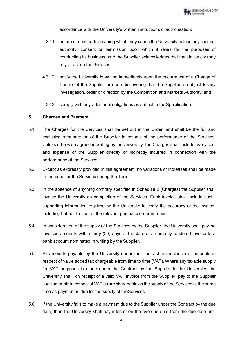accordance with the University's written instructions orauthorisation;

- 4.3.11 not do or omit to do anything which may cause the University to lose any licence, authority, consent or permission upon which it relies for the purposes of conducting its business, and the Supplier acknowledges that the University may rely or act on the Services;
- 4.3.12 notify the University in writing immediately upon the occurrence of a Change of Control of the Supplier or upon discovering that the Supplier is subject to any investigation, order or direction by the Competition and Markets Authority; and
- 4.3.13 comply with any additional obligations as set out in theSpecification.

## <span id="page-9-0"></span>**5 Charges and Payment**

- 5.1 The Charges for the Services shall be set out in the Order, and shall be the full and exclusive remuneration of the Supplier in respect of the performance of the Services. Unless otherwise agreed in writing by the University, the Charges shall include every cost and expense of the Supplier directly or indirectly incurred in connection with the performance of the Services.
- 5.2 Except as expressly provided in this agreement, no variations or increases shall be made to the price for the Services during the Term.
- 5.3 In the absence of anything contrary specified in Schedule 2 (Charges) the Supplier shall invoice the University on completion of the Services. Each invoice shall include such supporting information required by the University to verify the accuracy of the invoice, including but not limited to, the relevant purchase order number.
- 5.4 In consideration of the supply of the Services by the Supplier, the University shall paythe invoiced amounts within thirty (30) days of the date of a correctly rendered invoice to a bank account nominated in writing by the Supplier.
- 5.5 All amounts payable by the University under the Contract are inclusive of amounts in respect of value added tax chargeable from time to time (VAT). Where any taxable supply for VAT purposes is made under the Contract by the Supplier to the University, the University shall, on receipt of a valid VAT invoice from the Supplier, pay to the Supplier such amounts in respect of VAT as are chargeable on the supply of the Services at the same time as payment is due for the supply of theServices.
- 5.6 If the University fails to make a payment due to the Supplier under the Contract by the due date, then the University shall pay interest on the overdue sum from the due date until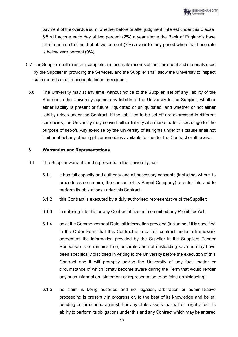payment of the overdue sum, whether before or after judgment. Interest under this Clause 5.5 will accrue each day at two percent (2%) a year above the Bank of England's base rate from time to time, but at two percent (2%) a year for any period when that base rate is below zero percent (0%).

- 5.7 The Supplier shall maintain complete and accurate records of the time spent and materials used by the Supplier in providing the Services, and the Supplier shall allow the University to inspect such records at all reasonable times onrequest.
- 5.8 The University may at any time, without notice to the Supplier, set off any liability of the Supplier to the University against any liability of the University to the Supplier, whether either liability is present or future, liquidated or unliquidated, and whether or not either liability arises under the Contract. If the liabilities to be set off are expressed in different currencies, the University may convert either liability at a market rate of exchange for the purpose of set-off. Any exercise by the University of its rights under this clause shall not limit or affect any other rights or remedies available to it under the Contract orotherwise.

## <span id="page-10-0"></span>**6 Warranties and Representations**

- 6.1 The Supplier warrants and represents to the Universitythat:
	- 6.1.1 it has full capacity and authority and all necessary consents (including, where its procedures so require, the consent of its Parent Company) to enter into and to perform its obligations under this Contract;
	- 6.1.2 this Contract is executed by a duly authorised representative of theSupplier;
	- 6.1.3 in entering into this or any Contract it has not committed any ProhibitedAct;
	- 6.1.4 as at the Commencement Date, all information provided (including if it is specified in the Order Form that this Contract is a call-off contract under a framework agreement the information provided by the Supplier in the Suppliers Tender Response) is or remains true, accurate and not misleading save as may have been specifically disclosed in writing to the University before the execution of this Contract and it will promptly advise the University of any fact, matter or circumstance of which it may become aware during the Term that would render any such information, statement or representation to be false ormisleading;
	- 6.1.5 no claim is being asserted and no litigation, arbitration or administrative proceeding is presently in progress or, to the best of its knowledge and belief, pending or threatened against it or any of its assets that will or might affect its ability to perform its obligations under this and any Contract which may be entered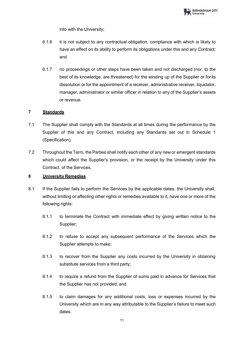

into with the University;

- 6.1.6 it is not subject to any contractual obligation, compliance with which is likely to have an effect on its ability to perform its obligations under this and any Contract; and
- 6.1.7 no proceedings or other steps have been taken and not discharged (nor, to the best of its knowledge, are threatened) for the winding up of the Supplier or forits dissolution or for the appointment of a receiver, administrative receiver, liquidator, manager, administrator or similar officer in relation to any of the Supplier's assets or revenue.

# <span id="page-11-0"></span>**7 Standards**

- 7.1 The Supplier shall comply with the Standards at all times during the performance by the Supplier of this and any Contract, including any Standards set out in Schedule 1 (Specification).
- 7.2 Throughout the Term, the Parties shall notify each other of any new or emergent standards which could affect the Supplier's provision, or the receipt by the University under this Contract, of the Services.

## <span id="page-11-1"></span>**8 University Remedies**

- 8.1 If the Supplier fails to perform the Services by the applicable dates, the University shall, without limiting or affecting other rights or remedies available to it, have one or more of the following rights:
	- 8.1.1 to terminate the Contract with immediate effect by giving written notice to the Supplier;
	- 8.1.2 to refuse to accept any subsequent performance of the Services which the Supplier attempts to make;
	- 8.1.3 to recover from the Supplier any costs incurred by the University in obtaining substitute services from a third party;
	- 8.1.4 to require a refund from the Supplier of sums paid in advance for Services that the Supplier has not provided; and
	- 8.1.5 to claim damages for any additional costs, loss or expenses incurred by the University which are in any way attributable to the Supplier's failure to meet such dates.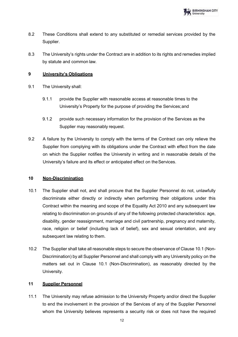

- 8.2 These Conditions shall extend to any substituted or remedial services provided by the Supplier.
- 8.3 The University's rights under the Contract are in addition to its rights and remedies implied by statute and common law.

## <span id="page-12-0"></span>**9 University's Obligations**

- 9.1 The University shall:
	- 9.1.1 provide the Supplier with reasonable access at reasonable times to the University's Property for the purpose of providing the Services;and
	- 9.1.2 provide such necessary information for the provision of the Services as the Supplier may reasonably request.
- 9.2 A failure by the University to comply with the terms of the Contract can only relieve the Supplier from complying with its obligations under the Contract with effect from the date on which the Supplier notifies the University in writing and in reasonable details of the University's failure and its effect or anticipated effect on theServices.

## <span id="page-12-1"></span>**10 Non-Discrimination**

- 10.1 The Supplier shall not, and shall procure that the Supplier Personnel do not, unlawfully discriminate either directly or indirectly when performing their obligations under this Contract within the meaning and scope of the Equality Act 2010 and any subsequent law relating to discrimination on grounds of any of the following protected characteristics: age, disability, gender reassignment, marriage and civil partnership, pregnancy and maternity, race, religion or belief (including lack of belief), sex and sexual orientation, and any subsequent law relating to them.
- 10.2 The Supplier shall take all reasonable steps to secure the observance of Clause 10.1 (Non-Discrimination) by all Supplier Personnel and shall comply with any University policy on the matters set out in Clause 10.1 (Non-Discrimination), as reasonably directed by the University.

## <span id="page-12-2"></span>**11 Supplier Personnel**

11.1 The University may refuse admission to the University Property and/or direct the Supplier to end the involvement in the provision of the Services of any of the Supplier Personnel whom the University believes represents a security risk or does not have the required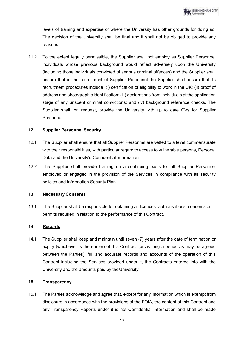levels of training and expertise or where the University has other grounds for doing so. The decision of the University shall be final and it shall not be obliged to provide any reasons.

11.2 To the extent legally permissible, the Supplier shall not employ as Supplier Personnel individuals whose previous background would reflect adversely upon the University (including those individuals convicted of serious criminal offences) and the Supplier shall ensure that in the recruitment of Supplier Personnel the Supplier shall ensure that its recruitment procedures include: (i) certification of eligibility to work in the UK; (ii) proof of address and photographic identification; (iii) declarations from individuals at the application stage of any unspent criminal convictions; and (iv) background reference checks. The Supplier shall, on request, provide the University with up to date CVs for Supplier Personnel.

# <span id="page-13-0"></span>**12 Supplier Personnel Security**

- 12.1 The Supplier shall ensure that all Supplier Personnel are vetted to a level commensurate with their responsibilities, with particular regard to access to vulnerable persons, Personal Data and the University's Confidential Information.
- 12.2 The Supplier shall provide training on a continuing basis for all Supplier Personnel employed or engaged in the provision of the Services in compliance with its security policies and Information Security Plan.

## <span id="page-13-1"></span>**13 Necessary Consents**

13.1 The Supplier shall be responsible for obtaining all licences, authorisations, consents or permits required in relation to the performance of thisContract.

# <span id="page-13-2"></span>**14 Records**

14.1 The Supplier shall keep and maintain until seven (7) years after the date of termination or expiry (whichever is the earlier) of this Contract (or as long a period as may be agreed between the Parties), full and accurate records and accounts of the operation of this Contract including the Services provided under it, the Contracts entered into with the University and the amounts paid by the University.

# <span id="page-13-3"></span>**15 Transparency**

15.1 The Parties acknowledge and agree that, except for any information which is exempt from disclosure in accordance with the provisions of the FOIA, the content of this Contract and any Transparency Reports under it is not Confidential Information and shall be made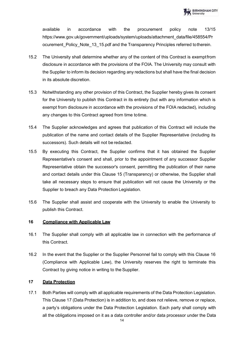available in accordance with the procurement policy note 13/15 https:/[/www.gov.uk/government/uploads/system/uploads/attachment\\_data/file/458554/Pr](http://www.gov.uk/government/uploads/system/uploads/attachment_data/file/458554/Pr) ocurement Policy Note 13 15.pdf and the Transparency Principles referred totherein.

- 15.2 The University shall determine whether any of the content of this Contract is exemptfrom disclosure in accordance with the provisions of the FOIA. The University may consult with the Supplier to inform its decision regarding any redactions but shall have the final decision in its absolute discretion.
- 15.3 Notwithstanding any other provision of this Contract, the Supplier hereby gives its consent for the University to publish this Contract in its entirety (but with any information which is exempt from disclosure in accordance with the provisions of the FOIA redacted), including any changes to this Contract agreed from time totime.
- 15.4 The Supplier acknowledges and agrees that publication of this Contract will include the publication of the name and contact details of the Supplier Representative (including its successors). Such details will not be redacted.
- 15.5 By executing this Contract, the Supplier confirms that it has obtained the Supplier Representative's consent and shall, prior to the appointment of any successor Supplier Representative obtain the successor's consent, permitting the publication of their name and contact details under this Clause 15 (Transparency) or otherwise, the Supplier shall take all necessary steps to ensure that publication will not cause the University or the Supplier to breach any Data Protection Legislation.
- 15.6 The Supplier shall assist and cooperate with the University to enable the University to publish this Contract.

## <span id="page-14-0"></span>**16 Compliance with Applicable Law**

- 16.1 The Supplier shall comply with all applicable law in connection with the performance of this Contract.
- 16.2 In the event that the Supplier or the Supplier Personnel fail to comply with this Clause 16 (Compliance with Applicable Law), the University reserves the right to terminate this Contract by giving notice in writing to the Supplier.

# <span id="page-14-1"></span>**17 Data Protection**

17.1 Both Parties will comply with all applicable requirements of the Data Protection Legislation. This Clause 17 (Data Protection) is in addition to, and does not relieve, remove or replace, a party's obligations under the Data Protection Legislation. Each party shall comply with all the obligations imposed on it as a data controller and/or data processor under the Data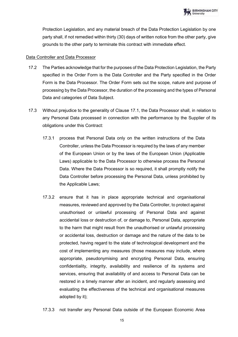Protection Legislation, and any material breach of the Data Protection Legislation by one party shall, if not remedied within thirty (30) days of written notice from the other party, give grounds to the other party to terminate this contract with immediate effect.

# Data Controller and Data Processor

- 17.2 The Parties acknowledge that for the purposes of the Data Protection Legislation, the Party specified in the Order Form is the Data Controller and the Party specified in the Order Form is the Data Processor. The Order Form sets out the scope, nature and purpose of processing by the Data Processor, the duration of the processing and the types of Personal Data and categories of Data Subject.
- 17.3 Without prejudice to the generality of Clause 17.1, the Data Processor shall, in relation to any Personal Data processed in connection with the performance by the Supplier of its obligations under this Contract:
	- 17.3.1 process that Personal Data only on the written instructions of the Data Controller, unless the Data Processor is required by the laws of any member of the European Union or by the laws of the European Union (Applicable Laws) applicable to the Data Processor to otherwise process the Personal Data. Where the Data Processor is so required, it shall promptly notify the Data Controller before processing the Personal Data, unless prohibited by the Applicable Laws;
	- 17.3.2 ensure that it has in place appropriate technical and organisational measures, reviewed and approved by the Data Controller, to protect against unauthorised or unlawful processing of Personal Data and against accidental loss or destruction of, or damage to, Personal Data, appropriate to the harm that might result from the unauthorised or unlawful processing or accidental loss, destruction or damage and the nature of the data to be protected, having regard to the state of technological development and the cost of implementing any measures (those measures may include, where appropriate, pseudonymising and encrypting Personal Data, ensuring confidentiality, integrity, availability and resilience of its systems and services, ensuring that availability of and access to Personal Data can be restored in a timely manner after an incident, and regularly assessing and evaluating the effectiveness of the technical and organisational measures adopted by it);
	- 17.3.3 not transfer any Personal Data outside of the European Economic Area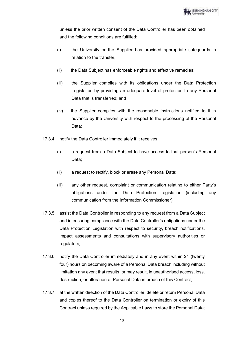unless the prior written consent of the Data Controller has been obtained and the following conditions are fulfilled:

- (i) the University or the Supplier has provided appropriate safeguards in relation to the transfer;
- (ii) the Data Subiect has enforceable rights and effective remedies;
- (iii) the Supplier complies with its obligations under the Data Protection Legislation by providing an adequate level of protection to any Personal Data that is transferred; and
- (iv) the Supplier complies with the reasonable instructions notified to it in advance by the University with respect to the processing of the Personal Data;
- 17.3.4 notify the Data Controller immediately if it receives:
	- (i) a request from a Data Subject to have access to that person's Personal Data;
	- (ii) a request to rectify, block or erase any Personal Data;
	- (iii) any other request, complaint or communication relating to either Party's obligations under the Data Protection Legislation (including any communication from the Information Commissioner);
- 17.3.5 assist the Data Controller in responding to any request from a Data Subject and in ensuring compliance with the Data Controller's obligations under the Data Protection Legislation with respect to security, breach notifications, impact assessments and consultations with supervisory authorities or regulators;
- 17.3.6 notify the Data Controller immediately and in any event within 24 (twenty four) hours on becoming aware of a Personal Data breach including without limitation any event that results, or may result, in unauthorised access, loss, destruction, or alteration of Personal Data in breach of this Contract;
- 17.3.7 at the written direction of the Data Controller, delete or return Personal Data and copies thereof to the Data Controller on termination or expiry of this Contract unless required by the Applicable Laws to store the Personal Data;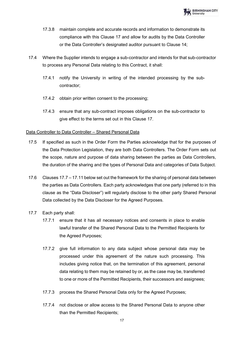- 17.3.8 maintain complete and accurate records and information to demonstrate its compliance with this Clause 17 and allow for audits by the Data Controller or the Data Controller's designated auditor pursuant to Clause 14;
- 17.4 Where the Supplier intends to engage a sub-contractor and intends for that sub-contractor to process any Personal Data relating to this Contract, it shall:
	- 17.4.1 notify the University in writing of the intended processing by the subcontractor;
	- 17.4.2 obtain prior written consent to the processing;
	- 17.4.3 ensure that any sub-contract imposes obligations on the sub-contractor to give effect to the terms set out in this Clause 17.

## Data Controller to Data Controller – Shared Personal Data

- 17.5 If specified as such in the Order Form the Parties acknowledge that for the purposes of the Data Protection Legislation, they are both Data Controllers. The Order Form sets out the scope, nature and purpose of data sharing between the parties as Data Controllers, the duration of the sharing and the types of Personal Data and categories of Data Subject.
- 17.6 Clauses 17.7 17.11 below set out the framework for the sharing of personal data between the parties as Data Controllers. Each party acknowledges that one party (referred to in this clause as the "Data Discloser") will regularly disclose to the other party Shared Personal Data collected by the Data Discloser for the Agreed Purposes.
- 17.7 Each party shall:
	- 17.7.1 ensure that it has all necessary notices and consents in place to enable lawful transfer of the Shared Personal Data to the Permitted Recipients for the Agreed Purposes;
	- 17.7.2 give full information to any data subject whose personal data may be processed under this agreement of the nature such processing. This includes giving notice that, on the termination of this agreement, personal data relating to them may be retained by or, as the case may be, transferred to one or more of the Permitted Recipients, their successors and assignees;
	- 17.7.3 process the Shared Personal Data only for the Agreed Purposes;
	- 17.7.4 not disclose or allow access to the Shared Personal Data to anyone other than the Permitted Recipients;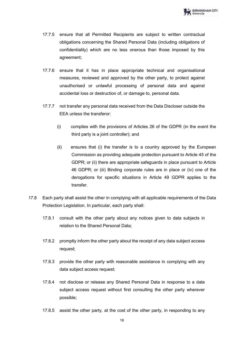- 17.7.5 ensure that all Permitted Recipients are subject to written contractual obligations concerning the Shared Personal Data (including obligations of confidentiality) which are no less onerous than those imposed by this agreement;
- 17.7.6 ensure that it has in place appropriate technical and organisational measures, reviewed and approved by the other party, to protect against unauthorised or unlawful processing of personal data and against accidental loss or destruction of, or damage to, personal data.
- 17.7.7 not transfer any personal data received from the Data Discloser outside the EEA unless the transferor:
	- (i) complies with the provisions of Articles 26 of the GDPR (in the event the third party is a joint controller); and
	- (ii) ensures that (i) the transfer is to a country approved by the European Commission as providing adequate protection pursuant to Article 45 of the GDPR; or (ii) there are appropriate safeguards in place pursuant to Article 46 GDPR; or (iii) Binding corporate rules are in place or (iv) one of the derogations for specific situations in Article 49 GDPR applies to the transfer.
- 17.8 Each party shall assist the other in complying with all applicable requirements of the Data Protection Legislation. In particular, each party shall:
	- 17.8.1 consult with the other party about any notices given to data subjects in relation to the Shared Personal Data;
	- 17.8.2 promptly inform the other party about the receipt of any data subject access request;
	- 17.8.3 provide the other party with reasonable assistance in complying with any data subject access request;
	- 17.8.4 not disclose or release any Shared Personal Data in response to a data subject access request without first consulting the other party wherever possible;
	- 17.8.5 assist the other party, at the cost of the other party, in responding to any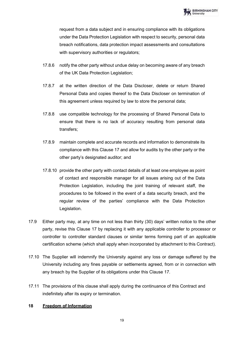request from a data subject and in ensuring compliance with its obligations under the Data Protection Legislation with respect to security, personal data breach notifications, data protection impact assessments and consultations with supervisory authorities or regulators;

- 17.8.6 notify the other party without undue delay on becoming aware of any breach of the UK Data Protection Legislation;
- 17.8.7 at the written direction of the Data Discloser, delete or return Shared Personal Data and copies thereof to the Data Discloser on termination of this agreement unless required by law to store the personal data;
- 17.8.8 use compatible technology for the processing of Shared Personal Data to ensure that there is no lack of accuracy resulting from personal data transfers;
- 17.8.9 maintain complete and accurate records and information to demonstrate its compliance with this Clause 17 and allow for audits by the other party or the other party's designated auditor; and
- 17.8.10 provide the other party with contact details of at least one employee as point of contact and responsible manager for all issues arising out of the Data Protection Legislation, including the joint training of relevant staff, the procedures to be followed in the event of a data security breach, and the regular review of the parties' compliance with the Data Protection Legislation.
- 17.9 Either party may, at any time on not less than thirty (30) days' written notice to the other party, revise this Clause 17 by replacing it with any applicable controller to processor or controller to controller standard clauses or similar terms forming part of an applicable certification scheme (which shall apply when incorporated by attachment to this Contract).
- 17.10 The Supplier will indemnify the University against any loss or damage suffered by the University including any fines payable or settlements agreed, from or in connection with any breach by the Supplier of its obligations under this Clause 17.
- 17.11 The provisions of this clause shall apply during the continuance of this Contract and indefinitely after its expiry or termination.

## <span id="page-19-0"></span>**18 Freedom of Information**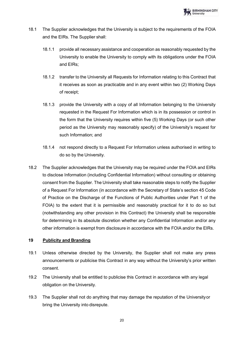- 18.1 The Supplier acknowledges that the University is subject to the requirements of the FOIA and the EIRs. The Supplier shall:
	- 18.1.1 provide all necessary assistance and cooperation as reasonably requested by the University to enable the University to comply with its obligations under the FOIA and EIRs;
	- 18.1.2 transfer to the University all Requests for Information relating to this Contract that it receives as soon as practicable and in any event within two (2) Working Days of receipt;
	- 18.1.3 provide the University with a copy of all Information belonging to the University requested in the Request For Information which is in its possession or control in the form that the University requires within five (5) Working Days (or such other period as the University may reasonably specify) of the University's request for such Information; and
	- 18.1.4 not respond directly to a Request For Information unless authorised in writing to do so by the University.
- 18.2 The Supplier acknowledges that the University may be required under the FOIA and EIRs to disclose Information (including Confidential Information) without consulting or obtaining consent from the Supplier. The University shall take reasonable steps to notify the Supplier of a Request For Information (in accordance with the Secretary of State's section 45 Code of Practice on the Discharge of the Functions of Public Authorities under Part 1 of the FOIA) to the extent that it is permissible and reasonably practical for it to do so but (notwithstanding any other provision in this Contract) the University shall be responsible for determining in its absolute discretion whether any Confidential Information and/or any other information is exempt from disclosure in accordance with the FOIA and/or the EIRs.

## <span id="page-20-0"></span>**19 Publicity and Branding**

- 19.1 Unless otherwise directed by the University, the Supplier shall not make any press announcements or publicise this Contract in any way without the University's prior written consent.
- 19.2 The University shall be entitled to publicise this Contract in accordance with any legal obligation on the University.
- 19.3 The Supplier shall not do anything that may damage the reputation of the Universityor bring the University into disrepute.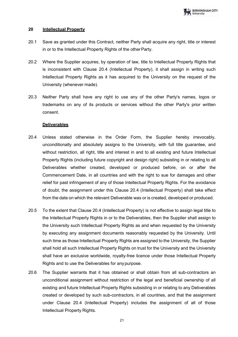## <span id="page-21-0"></span>**20 Intellectual Property**

- 20.1 Save as granted under this Contract, neither Party shall acquire any right, title or interest in or to the Intellectual Property Rights of the other Party.
- 20.2 Where the Supplier acquires, by operation of law, title to Intellectual Property Rights that is inconsistent with Clause 20.4 (Intellectual Property), it shall assign in writing such Intellectual Property Rights as it has acquired to the University on the request of the University (whenever made).
- 20.3 Neither Party shall have any right to use any of the other Party's names, logos or trademarks on any of its products or services without the other Party's prior written consent.

## **Deliverables**

- 20.4 Unless stated otherwise in the Order Form, the Supplier hereby irrevocably, unconditionally and absolutely assigns to the University, with full title guarantee, and without restriction, all right, title and interest in and to all existing and future Intellectual Property Rights (including future copyright and design right) subsisting in or relating to all Deliverables whether created, developed or produced before, on or after the Commencement Date, in all countries and with the right to sue for damages and other relief for past infringement of any of those Intellectual Property Rights. For the avoidance of doubt, the assignment under this Clause 20.4 (Intellectual Property) shall take effect from the date on which the relevant Deliverable was or is created, developed or produced.
- 20.5 To the extent that Clause 20.4 (Intellectual Property) is not effective to assign legal title to the Intellectual Property Rights in or to the Deliverables, then the Supplier shall assign to the University such Intellectual Property Rights as and when requested by the University by executing any assignment documents reasonably requested by the University. Until such time as those Intellectual Property Rights are assigned to the University, the Supplier shall hold all such Intellectual Property Rights on trust for the University and the University shall have an exclusive worldwide, royalty-free licence under those Intellectual Property Rights and to use the Deliverables for anypurpose.
- 20.6 The Supplier warrants that it has obtained or shall obtain from all sub-contractors an unconditional assignment without restriction of the legal and beneficial ownership of all existing and future Intellectual Property Rights subsisting in or relating to any Deliverables created or developed by such sub-contractors, in all countries, and that the assignment under Clause 20.4 (Intellectual Property) includes the assignment of all of those Intellectual Property Rights.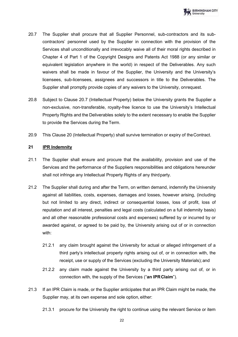

- 20.7 The Supplier shall procure that all Supplier Personnel, sub-contractors and its subcontractors' personnel used by the Supplier in connection with the provision of the Services shall unconditionally and irrevocably waive all of their moral rights described in Chapter 4 of Part 1 of the Copyright Designs and Patents Act 1988 (or any similar or equivalent legislation anywhere in the world) in respect of the Deliverables. Any such waivers shall be made in favour of the Supplier, the University and the University's licensees, sub-licensees, assignees and successors in title to the Deliverables. The Supplier shall promptly provide copies of any waivers to the University, onrequest.
- 20.8 Subject to Clause 20.7 (Intellectual Property) below the University grants the Supplier a non-exclusive, non-transferable, royalty-free licence to use the University's Intellectual Property Rights and the Deliverables solely to the extent necessary to enable the Supplier to provide the Services during the Term.
- 20.9 This Clause 20 (Intellectual Property) shall survive termination or expiry of theContract.

## <span id="page-22-0"></span>**21 IPR Indemnity**

- 21.1 The Supplier shall ensure and procure that the availability, provision and use of the Services and the performance of the Suppliers responsibilities and obligations hereunder shall not infringe any Intellectual Property Rights of any thirdparty.
- 21.2 The Supplier shall during and after the Term, on written demand, indemnify the University against all liabilities, costs, expenses, damages and losses, however arising, (including but not limited to any direct, indirect or consequential losses, loss of profit, loss of reputation and all interest, penalties and legal costs (calculated on a full indemnity basis) and all other reasonable professional costs and expenses) suffered by or incurred by or awarded against, or agreed to be paid by, the University arising out of or in connection with:
	- 21.2.1 any claim brought against the University for actual or alleged infringement of a third party's intellectual property rights arising out of, or in connection with, the receipt, use or supply of the Services (excluding the University Materials); and
	- 21.2.2 any claim made against the University by a third party arising out of, or in connection with, the supply of the Services ("**an IPRClaim**").
- 21.3 If an IPR Claim is made, or the Supplier anticipates that an IPR Claim might be made, the Supplier may, at its own expense and sole option, either:
	- 21.3.1 procure for the University the right to continue using the relevant Service or item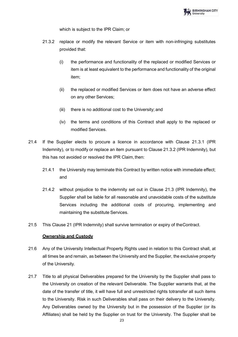

which is subject to the IPR Claim; or

- 21.3.2 replace or modify the relevant Service or item with non-infringing substitutes provided that:
	- (i) the performance and functionality of the replaced or modified Services or item is at least equivalent to the performance and functionality of the original item;
	- (ii) the replaced or modified Services or item does not have an adverse effect on any other Services;
	- (iii) there is no additional cost to the University; and
	- (iv) the terms and conditions of this Contract shall apply to the replaced or modified Services.
- 21.4 If the Supplier elects to procure a licence in accordance with Clause 21.3.1 (IPR Indemnity), or to modify or replace an item pursuant to Clause 21.3.2 (IPR Indemnity), but this has not avoided or resolved the IPR Claim, then:
	- 21.4.1 the University may terminate this Contract by written notice with immediate effect; and
	- 21.4.2 without prejudice to the indemnity set out in Clause 21.3 (IPR Indemnity), the Supplier shall be liable for all reasonable and unavoidable costs of the substitute Services including the additional costs of procuring, implementing and maintaining the substitute Services.
- 21.5 This Clause 21 (IPR Indemnity) shall survive termination or expiry of theContract.

#### **Ownership and Custody**

- 21.6 Any of the University Intellectual Property Rights used in relation to this Contract shall, at all times be and remain, as between the University and the Supplier, the exclusive property of the University.
- 21.7 Title to all physical Deliverables prepared for the University by the Supplier shall pass to the University on creation of the relevant Deliverable. The Supplier warrants that, at the date of the transfer of title, it will have full and unrestricted rights totransfer all such items to the University. Risk in such Deliverables shall pass on their delivery to the University. Any Deliverables owned by the University but in the possession of the Supplier (or its Affiliates) shall be held by the Supplier on trust for the University. The Supplier shall be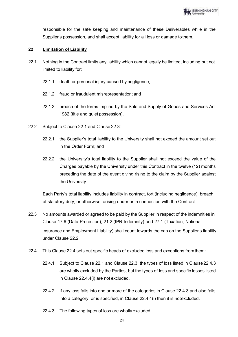

responsible for the safe keeping and maintenance of these Deliverables while in the Supplier's possession, and shall accept liability for all loss or damage tothem.

## <span id="page-24-0"></span>**22 Limitation of Liability**

- 22.1 Nothing in the Contract limits any liability which cannot legally be limited, including but not limited to liability for:
	- 22.1.1 death or personal injury caused by negligence;
	- 22.1.2 fraud or fraudulent misrepresentation; and
	- 22.1.3 breach of the terms implied by the Sale and Supply of Goods and Services Act 1982 (title and quiet possession).
- 22.2 Subject to Clause 22.1 and Clause 22.3:
	- 22.2.1 the Supplier's total liability to the University shall not exceed the amount set out in the Order Form; and
	- 22.2.2 the University's total liability to the Supplier shall not exceed the value of the Charges payable by the University under this Contract in the twelve (12) months preceding the date of the event giving rising to the claim by the Supplier against the University.

Each Party's total liability includes liability in contract, tort (including negligence), breach of statutory duty, or otherwise, arising under or in connection with the Contract.

- 22.3 No amounts awarded or agreed to be paid by the Supplier in respect of the indemnities in Clause 17.6 (Data Protection), 21.2 (IPR Indemnity) and 27.1 (Taxation, National Insurance and Employment Liability) shall count towards the cap on the Supplier's liability under Clause 22.2.
- 22.4 This Clause 22.4 sets out specific heads of excluded loss and exceptions fromthem:
	- 22.4.1 Subject to Clause 22.1 and Clause 22.3, the types of loss listed in Clause22.4.3 are wholly excluded by the Parties, but the types of loss and specific losses listed in Clause 22.4.4(i) are not excluded.
	- 22.4.2 If any loss falls into one or more of the categories in Clause 22.4.3 and also falls into a category, or is specified, in Clause 22.4.4(i) then it is notexcluded.
	- 22.4.3 The following types of loss are wholly excluded: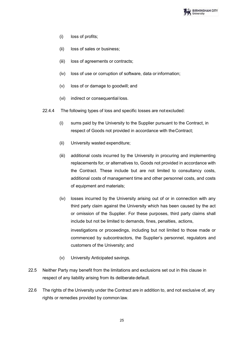

- (i) loss of profits;
- (ii) loss of sales or business;
- (iii) loss of agreements or contracts;
- (iv) loss of use or corruption of software, data or information;
- (v) loss of or damage to goodwill; and
- (vi) indirect or consequential loss.
- 22.4.4 The following types of loss and specific losses are not excluded:
	- (i) sums paid by the University to the Supplier pursuant to the Contract, in respect of Goods not provided in accordance with theContract;
	- (ii) University wasted expenditure;
	- (iii) additional costs incurred by the University in procuring and implementing replacements for, or alternatives to, Goods not provided in accordance with the Contract. These include but are not limited to consultancy costs, additional costs of management time and other personnel costs, and costs of equipment and materials;
	- (iv) losses incurred by the University arising out of or in connection with any third party claim against the University which has been caused by the act or omission of the Supplier. For these purposes, third party claims shall include but not be limited to demands, fines, penalties, actions, investigations or proceedings, including but not limited to those made or commenced by subcontractors, the Supplier's personnel, regulators and customers of the University; and
	- (v) University Anticipated savings.
- 22.5 Neither Party may benefit from the limitations and exclusions set out in this clause in respect of any liability arising from its deliberate default.
- 22.6 The rights of the University under the Contract are in addition to, and not exclusive of, any rights or remedies provided by common law.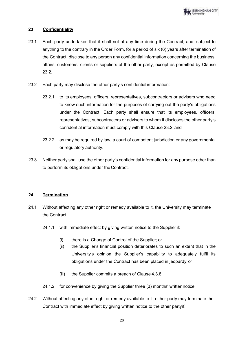## <span id="page-26-0"></span>**23 Confidentiality**

- 23.1 Each party undertakes that it shall not at any time during the Contract, and, subject to anything to the contrary in the Order Form, for a period of six (6) years after termination of the Contract, disclose to any person any confidential information concerning the business, affairs, customers, clients or suppliers of the other party, except as permitted by Clause 23.2.
- 23.2 Each party may disclose the other party's confidential information:
	- 23.2.1 to its employees, officers, representatives, subcontractors or advisers who need to know such information for the purposes of carrying out the party's obligations under the Contract. Each party shall ensure that its employees, officers, representatives, subcontractors or advisers to whom it discloses the other party's confidential information must comply with this Clause 23.2; and
	- 23.2.2 as may be required by law, a court of competent jurisdiction or any governmental or regulatory authority.
- 23.3 Neither party shall use the other party's confidential information for any purpose other than to perform its obligations under the Contract.

## <span id="page-26-1"></span>**24 Termination**

- 24.1 Without affecting any other right or remedy available to it, the University may terminate the Contract:
	- 24.1.1 with immediate effect by giving written notice to the Supplierif:
		- (i) there is a Change of Control of the Supplier; or
		- (ii) the Supplier's financial position deteriorates to such an extent that in the University's opinion the Supplier's capability to adequately fulfil its obligations under the Contract has been placed in jeopardy; or
		- (iii) the Supplier commits a breach of Clause 4.3.8,
	- 24.1.2 for convenience by giving the Supplier three (3) months' writtennotice.
- 24.2 Without affecting any other right or remedy available to it, either party may terminate the Contract with immediate effect by giving written notice to the other partyif: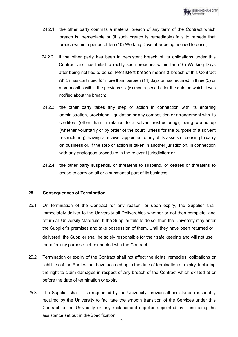- 24.2.1 the other party commits a material breach of any term of the Contract which breach is irremediable or (if such breach is remediable) fails to remedy that breach within a period of ten (10) Working Days after being notified to doso;
- 24.2.2 if the other party has been in persistent breach of its obligations under this Contract and has failed to rectify such breaches within ten (10) Working Days after being notified to do so. Persistent breach means a breach of this Contract which has continued for more than fourteen (14) days or has recurred in three (3) or more months within the previous six (6) month period after the date on which it was notified about the breach;
- 24.2.3 the other party takes any step or action in connection with its entering administration, provisional liquidation or any composition or arrangement with its creditors (other than in relation to a solvent restructuring), being wound up (whether voluntarily or by order of the court, unless for the purpose of a solvent restructuring), having a receiver appointed to any of its assets or ceasing to carry on business or, if the step or action is taken in another jurisdiction, in connection with any analogous procedure in the relevant jurisdiction; or
- 24.2.4 the other party suspends, or threatens to suspend, or ceases or threatens to cease to carry on all or a substantial part of its business.

# <span id="page-27-0"></span>**25 Consequences of Termination**

- 25.1 On termination of the Contract for any reason, or upon expiry, the Supplier shall immediately deliver to the University all Deliverables whether or not then complete, and return all University Materials. If the Supplier fails to do so, then the University may enter the Supplier's premises and take possession of them. Until they have been returned or delivered, the Supplier shall be solely responsible for their safe keeping and will not use them for any purpose not connected with the Contract.
- 25.2 Termination or expiry of the Contract shall not affect the rights, remedies, obligations or liabilities of the Parties that have accrued up to the date of termination or expiry, including the right to claim damages in respect of any breach of the Contract which existed at or before the date of termination or expiry.
- 25.3 The Supplier shall, if so requested by the University, provide all assistance reasonably required by the University to facilitate the smooth transition of the Services under this Contract to the University or any replacement supplier appointed by it including the assistance set out in theSpecification.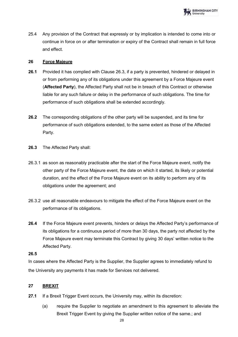

25.4 Any provision of the Contract that expressly or by implication is intended to come into or continue in force on or after termination or expiry of the Contract shall remain in full force and effect.

### <span id="page-28-0"></span>**26 Force Majeure**

- **26.1** Provided it has complied with Clause 26.3, if a party is prevented, hindered or delayed in or from performing any of its obligations under this agreement by a Force Majeure event (**Affected Party**), the Affected Party shall not be in breach of this Contract or otherwise liable for any such failure or delay in the performance of such obligations. The time for performance of such obligations shall be extended accordingly.
- **26.2** The corresponding obligations of the other party will be suspended, and its time for performance of such obligations extended, to the same extent as those of the Affected Party.
- **26.3** The Affected Party shall:
- 26.3.1 as soon as reasonably practicable after the start of the Force Majeure event, notify the other party of the Force Majeure event, the date on which it started, its likely or potential duration, and the effect of the Force Majeure event on its ability to perform any of its obligations under the agreement; and
- 26.3.2 use all reasonable endeavours to mitigate the effect of the Force Majeure event on the performance of its obligations.
- **26.4** If the Force Majeure event prevents, hinders or delays the Affected Party's performance of its obligations for a continuous period of more than 30 days, the party not affected by the Force Majeure event may terminate this Contract by giving 30 days' written notice to the Affected Party.

#### **26.5**

In cases where the Affected Party is the Supplier, the Supplier agrees to immediately refund to the University any payments it has made for Services not delivered.

## <span id="page-28-1"></span>**27 BREXIT**

- **27.1** If a Brexit Trigger Event occurs, the University may, within its discretion:
	- (a) require the Supplier to negotiate an amendment to this agreement to alleviate the Brexit Trigger Event by giving the Supplier written notice of the same.; and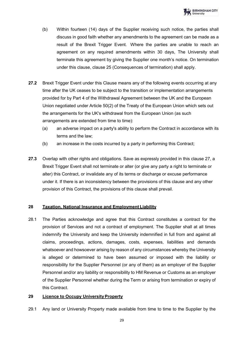

- (b) Within fourteen (14) days of the Supplier receiving such notice, the parties shall discuss in good faith whether any amendments to the agreement can be made as a result of the Brexit Trigger Event. Where the parties are unable to reach an agreement on any required amendments within 30 days, The University shall terminate this agreement by giving the Supplier one month's notice. On termination under this clause, clause 25 (Consequences of termination) shall apply.
- **27.2** Brexit Trigger Event under this Clause means any of the following events occurring at any time after the UK ceases to be subject to the transition or implementation arrangements provided for by Part 4 of the Withdrawal Agreement between the UK and the European Union negotiated under Article 50(2) of the Treaty of the European Union which sets out the arrangements for the UK's withdrawal from the European Union (as such arrangements are extended from time to time):
	- (a) an adverse impact on a party's ability to perform the Contract in accordance with its terms and the law;
	- (b) an increase in the costs incurred by a party in performing this Contract;
- **27.3** Overlap with other rights and obligations. Save as expressly provided in this clause 27, a Brexit Trigger Event shall not terminate or alter (or give any party a right to terminate or alter) this Contract, or invalidate any of its terms or discharge or excuse performance under it. If there is an inconsistency between the provisions of this clause and any other provision of this Contract, the provisions of this clause shall prevail.

## **28 Taxation, National Insurance and Employment Liability**

28.1 The Parties acknowledge and agree that this Contract constitutes a contract for the provision of Services and not a contract of employment. The Supplier shall at all times indemnify the University and keep the University indemnified in full from and against all claims, proceedings, actions, damages, costs, expenses, liabilities and demands whatsoever and howsoever arising by reason of any circumstances whereby the University is alleged or determined to have been assumed or imposed with the liability or responsibility for the Supplier Personnel (or any of them) as an employer of the Supplier Personnel and/or any liability or responsibility to HM Revenue or Customs as an employer of the Supplier Personnel whether during the Term or arising from termination or expiry of this Contract.

### **29 Licence to Occupy University Property**

29.1 Any land or University Property made available from time to time to the Supplier by the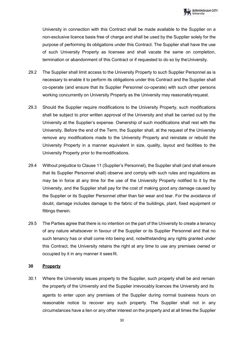

University in connection with this Contract shall be made available to the Supplier on a non-exclusive licence basis free of charge and shall be used by the Supplier solely for the purpose of performing its obligations under this Contract. The Supplier shall have the use of such University Property as licensee and shall vacate the same on completion, termination or abandonment of this Contract or if requested to do so by theUniversity.

- 29.2 The Supplier shall limit access to the University Property to such Supplier Personnel as is necessary to enable it to perform its obligations under this Contract and the Supplier shall co-operate (and ensure that its Supplier Personnel co-operate) with such other persons working concurrently on University Property as the University may reasonablyrequest.
- 29.3 Should the Supplier require modifications to the University Property, such modifications shall be subject to prior written approval of the University and shall be carried out by the University at the Supplier's expense. Ownership of such modifications shall rest with the University. Before the end of the Term, the Supplier shall, at the request of the University remove any modifications made to the University Property and reinstate or rebuild the University Property in a manner equivalent in size, quality, layout and facilities to the University Property prior to the modifications.
- 29.4 Without prejudice to Clause 11 (Supplier's Personnel), the Supplier shall (and shall ensure that its Supplier Personnel shall) observe and comply with such rules and regulations as may be in force at any time for the use of the University Property notified to it by the University, and the Supplier shall pay for the cost of making good any damage caused by the Supplier or its Supplier Personnel other than fair wear and tear. For the avoidance of doubt, damage includes damage to the fabric of the buildings, plant, fixed equipment or fittings therein.
- 29.5 The Parties agree that there is no intention on the part of the University to create a tenancy of any nature whatsoever in favour of the Supplier or its Supplier Personnel and that no such tenancy has or shall come into being and, notwithstanding any rights granted under this Contract, the University retains the right at any time to use any premises owned or occupied by it in any manner it sees fit.

#### **30 Property**

30.1 Where the University issues property to the Supplier, such property shall be and remain the property of the University and the Supplier irrevocably licences the University and its agents to enter upon any premises of the Supplier during normal business hours on reasonable notice to recover any such property. The Supplier shall not in any circumstances have a lien or any other interest on the property and at all times the Supplier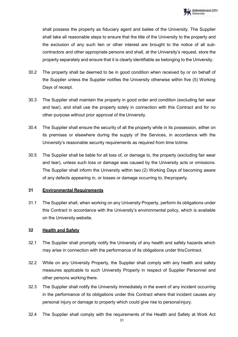shall possess the property as fiduciary agent and bailee of the University. The Supplier shall take all reasonable steps to ensure that the title of the University to the property and the exclusion of any such lien or other interest are brought to the notice of all subcontractors and other appropriate persons and shall, at the University's request, store the property separately and ensure that it is clearly identifiable as belonging to the University.

- 30.2 The property shall be deemed to be in good condition when received by or on behalf of the Supplier unless the Supplier notifies the University otherwise within five (5) Working Days of receipt.
- 30.3 The Supplier shall maintain the property in good order and condition (excluding fair wear and tear), and shall use the property solely in connection with this Contract and for no other purpose without prior approval of the University.
- 30.4 The Supplier shall ensure the security of all the property while in its possession, either on its premises or elsewhere during the supply of the Services, in accordance with the University's reasonable security requirements as required from time totime.
- 30.5 The Supplier shall be liable for all loss of, or damage to, the property (excluding fair wear and tear), unless such loss or damage was caused by the University acts or omissions. The Supplier shall inform the University within two (2) Working Days of becoming aware of any defects appearing in, or losses or damage occurring to, theproperty.

## **31 Environmental Requirements**

31.1 The Supplier shall, when working on any University Property, perform its obligations under this Contract in accordance with the University's environmental policy, which is available on the University website.

## **32 Health and Safety**

- 32.1 The Supplier shall promptly notify the University of any health and safety hazards which may arise in connection with the performance of its obligations under thisContract.
- 32.2 While on any University Property, the Supplier shall comply with any health and safety measures applicable to such University Property in respect of Supplier Personnel and other persons working there.
- 32.3 The Supplier shall notify the University immediately in the event of any incident occurring in the performance of its obligations under this Contract where that incident causes any personal injury or damage to property which could give rise to personalinjury.
- 32.4 The Supplier shall comply with the requirements of the Health and Safety at Work Act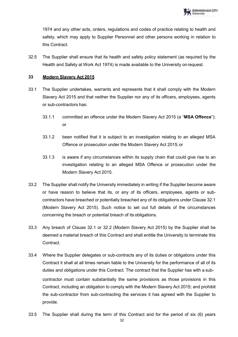1974 and any other acts, orders, regulations and codes of practice relating to health and safety, which may apply to Supplier Personnel and other persons working in relation to this Contract.

32.5 The Supplier shall ensure that its health and safety policy statement (as required by the Health and Safety at Work Act 1974) is made available to the University on request.

# **33 Modern Slavery Act 2015**

- 33.1 The Supplier undertakes, warrants and represents that it shall comply with the Modern Slavery Act 2015 and that neither the Supplier nor any of its officers, employees, agents or sub-contractors has:
	- 33.1.1 committed an offence under the Modern Slavery Act 2015 (a "**MSA Offence**"); or
	- 33.1.2 been notified that it is subject to an investigation relating to an alleged MSA Offence or prosecution under the Modern Slavery Act 2015; or
	- 33.1.3 is aware if any circumstances within its supply chain that could give rise to an investigation relating to an alleged MSA Offence or prosecution under the Modern Slavery Act 2015.
- 33.2 The Supplier shall notify the University immediately in writing if the Supplier become aware or have reason to believe that its, or any of its officers, employees, agents or subcontractors have breached or potentially breached any of its obligations under Clause 32.1 (Modern Slavery Act 2015). Such notice to set out full details of the circumstances concerning the breach or potential breach of its obligations.
- 33.3 Any breach of Clause 32.1 or 32.2 (Modern Slavery Act 2015) by the Supplier shall be deemed a material breach of this Contract and shall entitle the University to terminate this Contract.
- 33.4 Where the Supplier delegates or sub-contracts any of its duties or obligations under this Contract it shall at all times remain liable to the University for the performance of all of its duties and obligations under this Contract. The contract that the Supplier has with a subcontractor must contain substantially the same provisions as those provisions in this Contract, including an obligation to comply with the Modern Slavery Act 2015; and prohibit the sub-contractor from sub-contracting the services it has agreed with the Supplier to provide.
- 33.5 The Supplier shall during the term of this Contract and for the period of six (6) years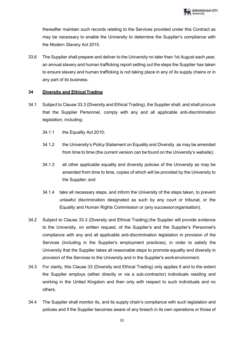thereafter maintain such records relating to the Services provided under this Contract as may be necessary to enable the University to determine the Supplier's compliance with the Modern Slavery Act 2015.

33.6 The Supplier shall prepare and deliver to the University no later than 1st August each year, an annual slavery and human trafficking report setting out the steps the Supplier has taken to ensure slavery and human trafficking is not taking place in any of its supply chains or in any part of its business.

# **34 Diversity and Ethical Trading**

- 34.1 Subject to Clause 33.3 (Diversity and Ethical Trading), the Supplier shall, and shall procure that the Supplier Personnel, comply with any and all applicable anti-discrimination legislation, including:
	- 34.1.1 the Equality Act 2010;
	- 34.1.2 the University's Policy Statement on Equality and Diversity as may be amended from time to time (the current version can be found on the University's website);
	- 34.1.3 all other applicable equality and diversity policies of the University as may be amended from time to time, copies of which will be provided by the University to the Supplier; and
	- 34.1.4 take all necessary steps, and inform the University of the steps taken, to prevent unlawful discrimination designated as such by any court or tribunal, or the Equality and Human Rights Commission or (any successororganisation).
- 34.2 Subject to Clause 33.3 (Diversity and Ethical Trading),the Supplier will provide evidence to the University, on written request, of the Supplier's and the Supplier's Personnel's compliance with any and all applicable anti-discrimination legislation in provision of the Services (including in the Supplier's employment practices), in order to satisfy the University that the Supplier takes all reasonable steps to promote equality and diversity in provision of the Services to the University and in the Supplier's work environment.
- 34.3 For clarity, this Clause 33 (Diversity and Ethical Trading) only applies if and to the extent the Supplier employs (either directly or via a sub-contractor) individuals residing and working in the United Kingdom and then only with respect to such individuals and no others.
- 34.4 The Supplier shall monitor its, and its supply chain's compliance with such legislation and policies and if the Supplier becomes aware of any breach in its own operations or those of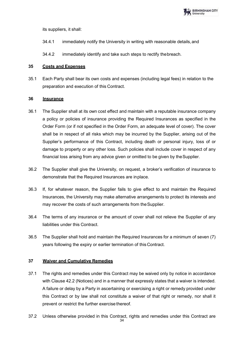

its suppliers, it shall:

- 34.4.1 immediately notify the University in writing with reasonable details,and
- 34.4.2 immediately identify and take such steps to rectify thebreach.

#### **35 Costs and Expenses**

35.1 Each Party shall bear its own costs and expenses (including legal fees) in relation to the preparation and execution of this Contract.

#### **36 Insurance**

- 36.1 The Supplier shall at its own cost effect and maintain with a reputable insurance company a policy or policies of insurance providing the Required Insurances as specified in the Order Form (or if not specified in the Order Form, an adequate level of cover). The cover shall be in respect of all risks which may be incurred by the Supplier, arising out of the Supplier's performance of this Contract, including death or personal injury, loss of or damage to property or any other loss. Such policies shall include cover in respect of any financial loss arising from any advice given or omitted to be given by theSupplier.
- 36.2 The Supplier shall give the University, on request, a broker's verification of insurance to demonstrate that the Required Insurances are inplace.
- 36.3 If, for whatever reason, the Supplier fails to give effect to and maintain the Required Insurances, the University may make alternative arrangements to protect its interests and may recover the costs of such arrangements from theSupplier.
- 36.4 The terms of any insurance or the amount of cover shall not relieve the Supplier of any liabilities under this Contract.
- 36.5 The Supplier shall hold and maintain the Required Insurances for a minimum of seven (7) years following the expiry or earlier termination of thisContract.

## **37 Waiver and Cumulative Remedies**

- 37.1 The rights and remedies under this Contract may be waived only by notice in accordance with Clause 42.2 (Notices) and in a manner that expressly states that a waiver is intended. A failure or delay by a Party in ascertaining or exercising a right or remedy provided under this Contract or by law shall not constitute a waiver of that right or remedy, nor shall it prevent or restrict the further exercise thereof.
- 37.2 Unless otherwise provided in this Contract, rights and remedies under this Contract are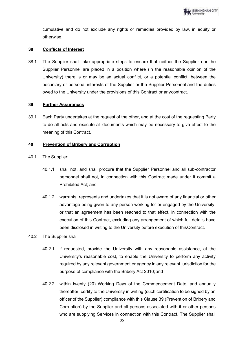cumulative and do not exclude any rights or remedies provided by law, in equity or otherwise.

## **38 Conflicts of Interest**

38.1 The Supplier shall take appropriate steps to ensure that neither the Supplier nor the Supplier Personnel are placed in a position where (in the reasonable opinion of the University) there is or may be an actual conflict, or a potential conflict, between the pecuniary or personal interests of the Supplier or the Supplier Personnel and the duties owed to the University under the provisions of this Contract or anycontract.

## **39 Further Assurances**

39.1 Each Party undertakes at the request of the other, and at the cost of the requesting Party to do all acts and execute all documents which may be necessary to give effect to the meaning of this Contract.

## **40 Prevention of Bribery and Corruption**

- 40.1 The Supplier:
	- 40.1.1 shall not, and shall procure that the Supplier Personnel and all sub-contractor personnel shall not, in connection with this Contract made under it commit a Prohibited Act; and
	- 40.1.2 warrants, represents and undertakes that it is not aware of any financial or other advantage being given to any person working for or engaged by the University, or that an agreement has been reached to that effect, in connection with the execution of this Contract, excluding any arrangement of which full details have been disclosed in writing to the University before execution of thisContract.
- 40.2 The Supplier shall:
	- 40.2.1 if requested, provide the University with any reasonable assistance, at the University's reasonable cost, to enable the University to perform any activity required by any relevant government or agency in any relevant jurisdiction for the purpose of compliance with the Bribery Act 2010; and
	- 40.2.2 within twenty (20) Working Days of the Commencement Date, and annually thereafter, certify to the University in writing (such certification to be signed by an officer of the Supplier) compliance with this Clause 39 (Prevention of Bribery and Corruption) by the Supplier and all persons associated with it or other persons who are supplying Services in connection with this Contract. The Supplier shall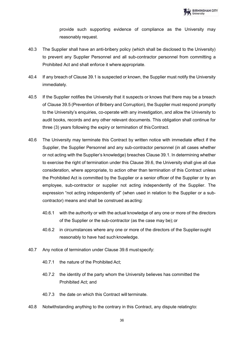provide such supporting evidence of compliance as the University may reasonably request.

- 40.3 The Supplier shall have an anti-bribery policy (which shall be disclosed to the University) to prevent any Supplier Personnel and all sub-contractor personnel from committing a Prohibited Act and shall enforce it where appropriate.
- 40.4 If any breach of Clause 39.1 is suspected or known, the Supplier must notify the University immediately.
- 40.5 If the Supplier notifies the University that it suspects or knows that there may be a breach of Clause 39.5 (Prevention of Bribery and Corruption), the Supplier must respond promptly to the University's enquiries, co-operate with any investigation, and allow the University to audit books, records and any other relevant documents. This obligation shall continue for three (3) years following the expiry or termination of thisContract.
- 40.6 The University may terminate this Contract by written notice with immediate effect if the Supplier, the Supplier Personnel and any sub-contractor personnel (in all cases whether or not acting with the Supplier's knowledge) breaches Clause 39.1. In determining whether to exercise the right of termination under this Clause 39.6, the University shall give all due consideration, where appropriate, to action other than termination of this Contract unless the Prohibited Act is committed by the Supplier or a senior officer of the Supplier or by an employee, sub-contractor or supplier not acting independently of the Supplier. The expression "not acting independently of" (when used in relation to the Supplier or a subcontractor) means and shall be construed as acting:
	- 40.6.1 with the authority or with the actual knowledge of any one or more of the directors of the Supplier or the sub-contractor (as the case may be);or
	- 40.6.2 in circumstances where any one or more of the directors of the Supplierought reasonably to have had such knowledge.
- 40.7 Any notice of termination under Clause 39.6 must specify:
	- 40.7.1 the nature of the Prohibited Act;
	- 40.7.2 the identity of the party whom the University believes has committed the Prohibited Act; and
	- 40.7.3 the date on which this Contract will terminate.
- 40.8 Notwithstanding anything to the contrary in this Contract, any dispute relatingto: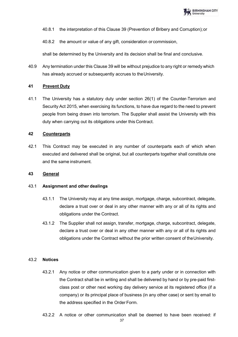

- 40.8.1 the interpretation of this Clause 39 (Prevention of Bribery and Corruption);or
- 40.8.2 the amount or value of any gift, consideration or commission,

shall be determined by the University and its decision shall be final and conclusive.

40.9 Any termination under this Clause 39 will be without prejudice to any right or remedy which has already accrued or subsequently accrues to theUniversity.

#### **41 Prevent Duty**

41.1 The University has a statutory duty under section 26(1) of the Counter-Terrorism and Security Act 2015, when exercising its functions, to have due regard to the need to prevent people from being drawn into terrorism. The Supplier shall assist the University with this duty when carrying out its obligations under this Contract.

#### **42 Counterparts**

42.1 This Contract may be executed in any number of counterparts each of which when executed and delivered shall be original, but all counterparts together shall constitute one and the same instrument.

### **43 General**

## 43.1 **Assignment and other dealings**

- 43.1.1 The University may at any time assign, mortgage, charge, subcontract, delegate, declare a trust over or deal in any other manner with any or all of its rights and obligations under the Contract.
- 43.1.2 The Supplier shall not assign, transfer, mortgage, charge, subcontract, delegate, declare a trust over or deal in any other manner with any or all of its rights and obligations under the Contract without the prior written consent of theUniversity.

#### 43.2 **Notices**

- 43.2.1 Any notice or other communication given to a party under or in connection with the Contract shall be in writing and shall be delivered by hand or by pre-paid firstclass post or other next working day delivery service at its registered office (if a company) or its principal place of business (in any other case) or sent by email to the address specified in the Order Form.
- 43.2.2 A notice or other communication shall be deemed to have been received: if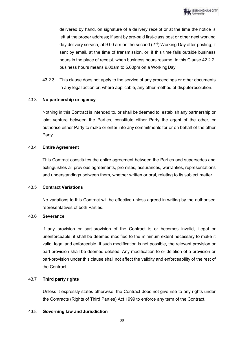delivered by hand, on signature of a delivery receipt or at the time the notice is left at the proper address; if sent by pre-paid first-class post or other next working day delivery service, at 9.00 am on the second  $(2<sup>nd</sup>)$  Working Day after posting; if sent by email, at the time of transmission, or, if this time falls outside business hours in the place of receipt, when business hours resume. In this Clause 42.2.2, business hours means 9.00am to 5.00pm on a WorkingDay.

43.2.3 This clause does not apply to the service of any proceedings or other documents in any legal action or, where applicable, any other method of disputeresolution.

# 43.3 **No partnership or agency**

Nothing in this Contract is intended to, or shall be deemed to, establish any partnership or joint venture between the Parties, constitute either Party the agent of the other, or authorise either Party to make or enter into any commitments for or on behalf of the other Party.

## 43.4 **Entire Agreement**

This Contract constitutes the entire agreement between the Parties and supersedes and extinguishes all previous agreements, promises, assurances, warranties, representations and understandings between them, whether written or oral, relating to its subject matter.

## 43.5 **Contract Variations**

No variations to this Contract will be effective unless agreed in writing by the authorised representatives of both Parties.

# 43.6 **Severance**

If any provision or part-provision of the Contract is or becomes invalid, illegal or unenforceable, it shall be deemed modified to the minimum extent necessary to make it valid, legal and enforceable. If such modification is not possible, the relevant provision or part-provision shall be deemed deleted. Any modification to or deletion of a provision or part-provision under this clause shall not affect the validity and enforceability of the rest of the Contract.

# 43.7 **Third party rights**

Unless it expressly states otherwise, the Contract does not give rise to any rights under the Contracts (Rights of Third Parties) Act 1999 to enforce any term of the Contract.

## 43.8 **Governing law and Jurisdiction**